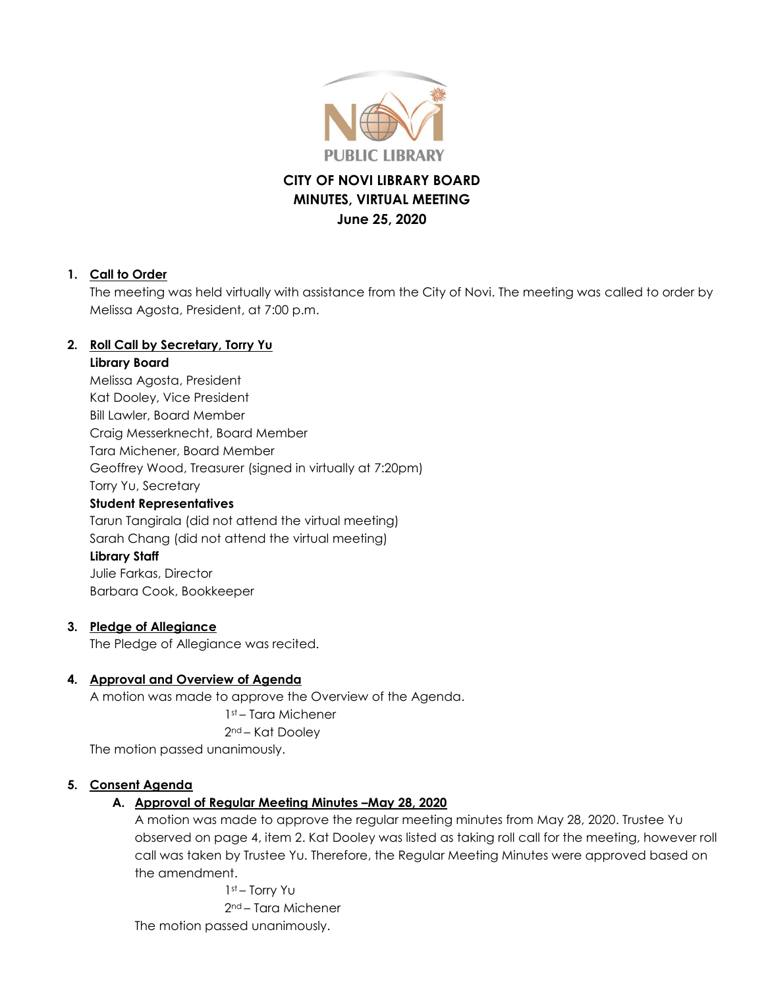

# **CITY OF NOVI LIBRARY BOARD MINUTES, VIRTUAL MEETING June 25, 2020**

#### **1. Call to Order**

The meeting was held virtually with assistance from the City of Novi. The meeting was called to order by Melissa Agosta, President, at 7:00 p.m.

## **2. Roll Call by Secretary, Torry Yu**

#### **Library Board**

Melissa Agosta, President Kat Dooley, Vice President Bill Lawler, Board Member Craig Messerknecht, Board Member Tara Michener, Board Member Geoffrey Wood, Treasurer (signed in virtually at 7:20pm) Torry Yu, Secretary **Student Representatives** Tarun Tangirala (did not attend the virtual meeting) Sarah Chang (did not attend the virtual meeting) **Library Staff** Julie Farkas, Director Barbara Cook, Bookkeeper

#### **3. Pledge of Allegiance**

The Pledge of Allegiance was recited.

## **4. Approval and Overview of Agenda**

A motion was made to approve the Overview of the Agenda. 1st – Tara Michener 2nd – Kat Dooley The motion passed unanimously.

#### **5. Consent Agenda**

## **A. Approval of Regular Meeting Minutes –May 28, 2020**

A motion was made to approve the regular meeting minutes from May 28, 2020. Trustee Yu observed on page 4, item 2. Kat Dooley was listed as taking roll call for the meeting, however roll call was taken by Trustee Yu. Therefore, the Regular Meeting Minutes were approved based on the amendment.

1st – Torry Yu 2nd – Tara Michener The motion passed unanimously.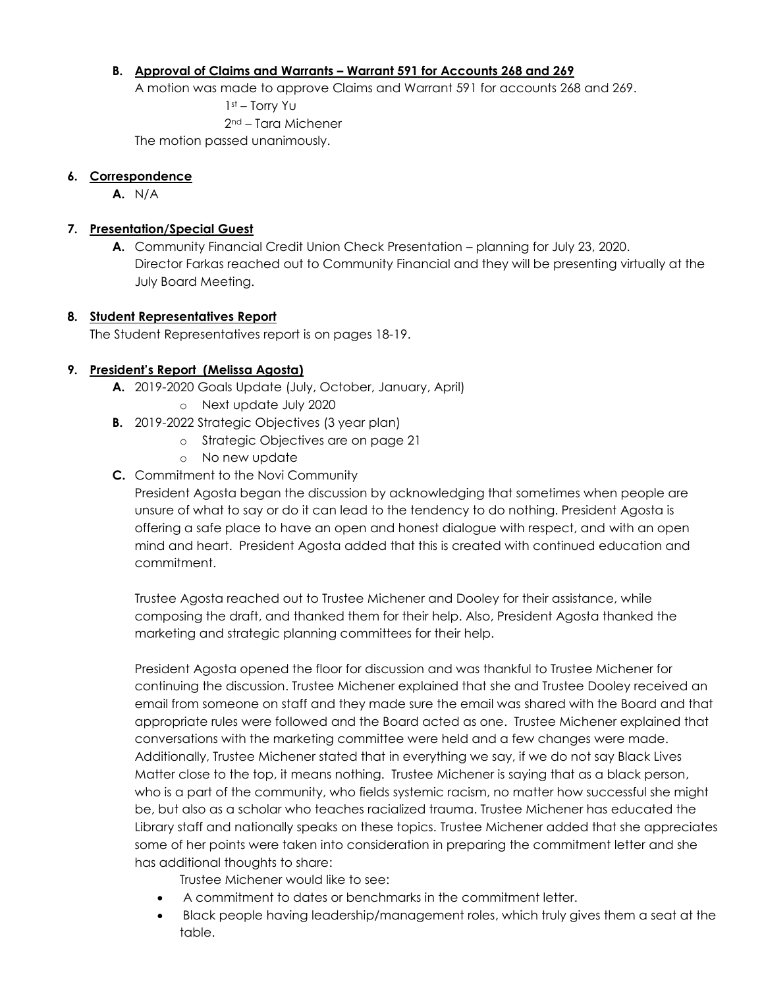#### **B. Approval of Claims and Warrants – Warrant 591 for Accounts 268 and 269**

A motion was made to approve Claims and Warrant 591 for accounts 268 and 269.

1st – Torry Yu 2nd – Tara Michener

The motion passed unanimously.

#### **6. Correspondence**

**A.** N/A

#### **7. Presentation/Special Guest**

**A.** Community Financial Credit Union Check Presentation – planning for July 23, 2020. Director Farkas reached out to Community Financial and they will be presenting virtually at the July Board Meeting.

#### **8. Student Representatives Report**

The Student Representatives report is on pages 18-19.

#### **9. President's Report (Melissa Agosta)**

- **A.** 2019-2020 Goals Update (July, October, January, April)
	- o Next update July 2020
- **B.** 2019-2022 Strategic Objectives (3 year plan)
	- o Strategic Objectives are on page 21
	- o No new update
- **C.** Commitment to the Novi Community

President Agosta began the discussion by acknowledging that sometimes when people are unsure of what to say or do it can lead to the tendency to do nothing. President Agosta is offering a safe place to have an open and honest dialogue with respect, and with an open mind and heart. President Agosta added that this is created with continued education and commitment.

Trustee Agosta reached out to Trustee Michener and Dooley for their assistance, while composing the draft, and thanked them for their help. Also, President Agosta thanked the marketing and strategic planning committees for their help.

President Agosta opened the floor for discussion and was thankful to Trustee Michener for continuing the discussion. Trustee Michener explained that she and Trustee Dooley received an email from someone on staff and they made sure the email was shared with the Board and that appropriate rules were followed and the Board acted as one. Trustee Michener explained that conversations with the marketing committee were held and a few changes were made. Additionally, Trustee Michener stated that in everything we say, if we do not say Black Lives Matter close to the top, it means nothing. Trustee Michener is saying that as a black person, who is a part of the community, who fields systemic racism, no matter how successful she might be, but also as a scholar who teaches racialized trauma. Trustee Michener has educated the Library staff and nationally speaks on these topics. Trustee Michener added that she appreciates some of her points were taken into consideration in preparing the commitment letter and she has additional thoughts to share:

Trustee Michener would like to see:

- A commitment to dates or benchmarks in the commitment letter.
- Black people having leadership/management roles, which truly gives them a seat at the table.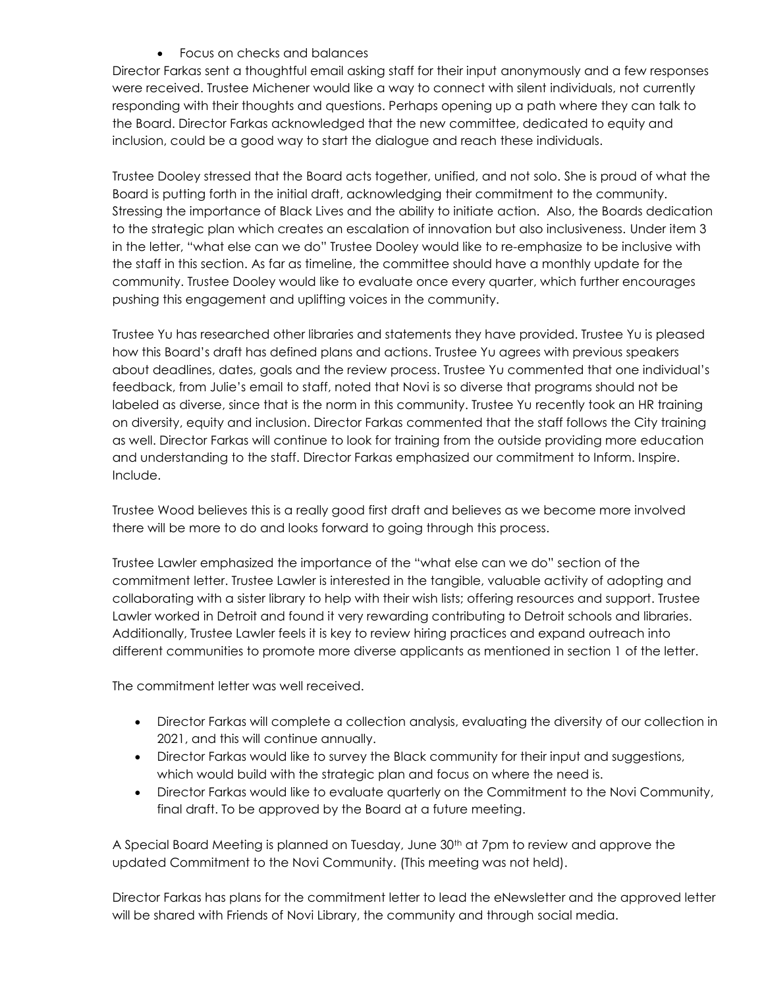Focus on checks and balances

Director Farkas sent a thoughtful email asking staff for their input anonymously and a few responses were received. Trustee Michener would like a way to connect with silent individuals, not currently responding with their thoughts and questions. Perhaps opening up a path where they can talk to the Board. Director Farkas acknowledged that the new committee, dedicated to equity and inclusion, could be a good way to start the dialogue and reach these individuals.

Trustee Dooley stressed that the Board acts together, unified, and not solo. She is proud of what the Board is putting forth in the initial draft, acknowledging their commitment to the community. Stressing the importance of Black Lives and the ability to initiate action. Also, the Boards dedication to the strategic plan which creates an escalation of innovation but also inclusiveness. Under item 3 in the letter, "what else can we do" Trustee Dooley would like to re-emphasize to be inclusive with the staff in this section. As far as timeline, the committee should have a monthly update for the community. Trustee Dooley would like to evaluate once every quarter, which further encourages pushing this engagement and uplifting voices in the community.

Trustee Yu has researched other libraries and statements they have provided. Trustee Yu is pleased how this Board's draft has defined plans and actions. Trustee Yu agrees with previous speakers about deadlines, dates, goals and the review process. Trustee Yu commented that one individual's feedback, from Julie's email to staff, noted that Novi is so diverse that programs should not be labeled as diverse, since that is the norm in this community. Trustee Yu recently took an HR training on diversity, equity and inclusion. Director Farkas commented that the staff follows the City training as well. Director Farkas will continue to look for training from the outside providing more education and understanding to the staff. Director Farkas emphasized our commitment to Inform. Inspire. Include.

Trustee Wood believes this is a really good first draft and believes as we become more involved there will be more to do and looks forward to going through this process.

Trustee Lawler emphasized the importance of the "what else can we do" section of the commitment letter. Trustee Lawler is interested in the tangible, valuable activity of adopting and collaborating with a sister library to help with their wish lists; offering resources and support. Trustee Lawler worked in Detroit and found it very rewarding contributing to Detroit schools and libraries. Additionally, Trustee Lawler feels it is key to review hiring practices and expand outreach into different communities to promote more diverse applicants as mentioned in section 1 of the letter.

The commitment letter was well received.

- Director Farkas will complete a collection analysis, evaluating the diversity of our collection in 2021, and this will continue annually.
- Director Farkas would like to survey the Black community for their input and suggestions, which would build with the strategic plan and focus on where the need is.
- Director Farkas would like to evaluate quarterly on the Commitment to the Novi Community, final draft. To be approved by the Board at a future meeting.

A Special Board Meeting is planned on Tuesday, June 30<sup>th</sup> at 7pm to review and approve the updated Commitment to the Novi Community. (This meeting was not held).

Director Farkas has plans for the commitment letter to lead the eNewsletter and the approved letter will be shared with Friends of Novi Library, the community and through social media.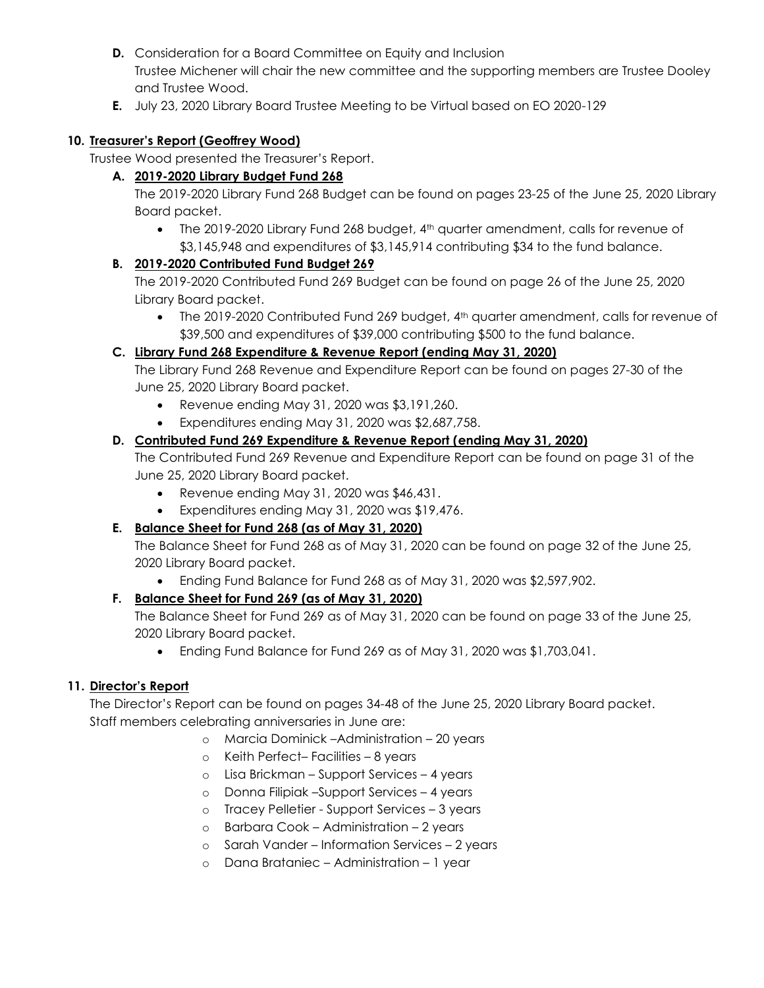- **D.** Consideration for a Board Committee on Equity and Inclusion Trustee Michener will chair the new committee and the supporting members are Trustee Dooley and Trustee Wood.
- **E.** July 23, 2020 Library Board Trustee Meeting to be Virtual based on EO 2020-129

### **10. Treasurer's Report (Geoffrey Wood)**

Trustee Wood presented the Treasurer's Report.

### **A. 2019-2020 Library Budget Fund 268**

The 2019-2020 Library Fund 268 Budget can be found on pages 23-25 of the June 25, 2020 Library Board packet.

• The 2019-2020 Library Fund 268 budget, 4<sup>th</sup> quarter amendment, calls for revenue of \$3,145,948 and expenditures of \$3,145,914 contributing \$34 to the fund balance.

### **B. 2019-2020 Contributed Fund Budget 269**

The 2019-2020 Contributed Fund 269 Budget can be found on page 26 of the June 25, 2020 Library Board packet.

• The 2019-2020 Contributed Fund 269 budget, 4<sup>th</sup> quarter amendment, calls for revenue of \$39,500 and expenditures of \$39,000 contributing \$500 to the fund balance.

## **C. Library Fund 268 Expenditure & Revenue Report (ending May 31, 2020)**

The Library Fund 268 Revenue and Expenditure Report can be found on pages 27-30 of the June 25, 2020 Library Board packet.

- Revenue ending May 31, 2020 was \$3,191,260.
- Expenditures ending May 31, 2020 was \$2,687,758.

## **D. Contributed Fund 269 Expenditure & Revenue Report (ending May 31, 2020)**

The Contributed Fund 269 Revenue and Expenditure Report can be found on page 31 of the June 25, 2020 Library Board packet.

- Revenue ending May 31, 2020 was \$46,431.
- Expenditures ending May 31, 2020 was \$19,476.

## **E. Balance Sheet for Fund 268 (as of May 31, 2020)**

The Balance Sheet for Fund 268 as of May 31, 2020 can be found on page 32 of the June 25, 2020 Library Board packet.

Ending Fund Balance for Fund 268 as of May 31, 2020 was \$2,597,902.

## **F. Balance Sheet for Fund 269 (as of May 31, 2020)**

The Balance Sheet for Fund 269 as of May 31, 2020 can be found on page 33 of the June 25, 2020 Library Board packet.

Ending Fund Balance for Fund 269 as of May 31, 2020 was \$1,703,041.

## **11. Director's Report**

The Director's Report can be found on pages 34-48 of the June 25, 2020 Library Board packet. Staff members celebrating anniversaries in June are:

- o Marcia Dominick –Administration 20 years
	- o Keith Perfect– Facilities 8 years
	- o Lisa Brickman Support Services 4 years
	- o Donna Filipiak –Support Services 4 years
	- o Tracey Pelletier Support Services 3 years
	- o Barbara Cook Administration 2 years
	- o Sarah Vander Information Services 2 years
	- o Dana Brataniec Administration 1 year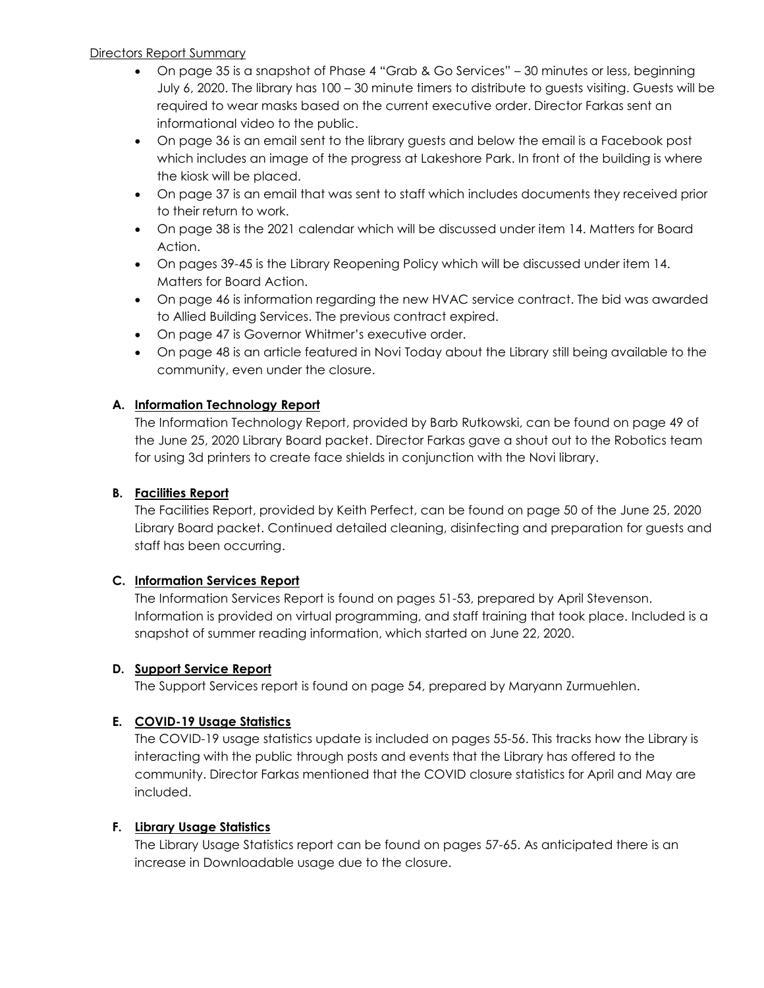#### Directors Report Summary

- On page 35 is a snapshot of Phase 4 "Grab & Go Services" 30 minutes or less, beginning July 6, 2020. The library has 100 – 30 minute timers to distribute to guests visiting. Guests will be required to wear masks based on the current executive order. Director Farkas sent an informational video to the public.
- On page 36 is an email sent to the library guests and below the email is a Facebook post which includes an image of the progress at Lakeshore Park. In front of the building is where the kiosk will be placed.
- On page 37 is an email that was sent to staff which includes documents they received prior to their return to work.
- On page 38 is the 2021 calendar which will be discussed under item 14. Matters for Board Action.
- On pages 39-45 is the Library Reopening Policy which will be discussed under item 14. Matters for Board Action.
- On page 46 is information regarding the new HVAC service contract. The bid was awarded to Allied Building Services. The previous contract expired.
- On page 47 is Governor Whitmer's executive order.
- On page 48 is an article featured in Novi Today about the Library still being available to the community, even under the closure.

## **A. Information Technology Report**

The Information Technology Report, provided by Barb Rutkowski, can be found on page 49 of the June 25, 2020 Library Board packet. Director Farkas gave a shout out to the Robotics team for using 3d printers to create face shields in conjunction with the Novi library.

### **B. Facilities Report**

The Facilities Report, provided by Keith Perfect, can be found on page 50 of the June 25, 2020 Library Board packet. Continued detailed cleaning, disinfecting and preparation for guests and staff has been occurring.

#### **C. Information Services Report**

The Information Services Report is found on pages 51-53, prepared by April Stevenson. Information is provided on virtual programming, and staff training that took place. Included is a snapshot of summer reading information, which started on June 22, 2020.

#### **D. Support Service Report**

The Support Services report is found on page 54, prepared by Maryann Zurmuehlen.

## **E. COVID-19 Usage Statistics**

The COVID-19 usage statistics update is included on pages 55-56. This tracks how the Library is interacting with the public through posts and events that the Library has offered to the community. Director Farkas mentioned that the COVID closure statistics for April and May are included.

## **F. Library Usage Statistics**

The Library Usage Statistics report can be found on pages 57-65. As anticipated there is an increase in Downloadable usage due to the closure.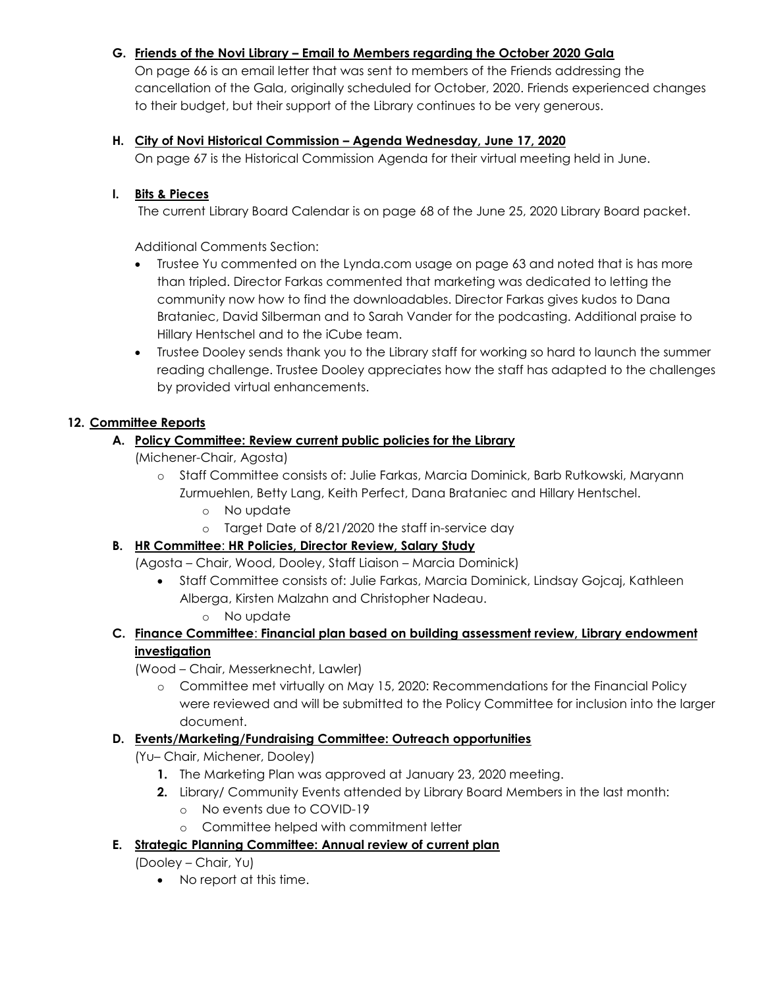## **G. Friends of the Novi Library – Email to Members regarding the October 2020 Gala**

On page 66 is an email letter that was sent to members of the Friends addressing the cancellation of the Gala, originally scheduled for October, 2020. Friends experienced changes to their budget, but their support of the Library continues to be very generous.

### **H. City of Novi Historical Commission – Agenda Wednesday, June 17, 2020**

On page 67 is the Historical Commission Agenda for their virtual meeting held in June.

#### **I. Bits & Pieces**

The current Library Board Calendar is on page 68 of the June 25, 2020 Library Board packet.

Additional Comments Section:

- Trustee Yu commented on the Lynda.com usage on page 63 and noted that is has more than tripled. Director Farkas commented that marketing was dedicated to letting the community now how to find the downloadables. Director Farkas gives kudos to Dana Brataniec, David Silberman and to Sarah Vander for the podcasting. Additional praise to Hillary Hentschel and to the iCube team.
- Trustee Dooley sends thank you to the Library staff for working so hard to launch the summer reading challenge. Trustee Dooley appreciates how the staff has adapted to the challenges by provided virtual enhancements.

## **12. Committee Reports**

### **A. Policy Committee: Review current public policies for the Library**

(Michener-Chair, Agosta)

- o Staff Committee consists of: Julie Farkas, Marcia Dominick, Barb Rutkowski, Maryann Zurmuehlen, Betty Lang, Keith Perfect, Dana Brataniec and Hillary Hentschel.
	- o No update
	- o Target Date of 8/21/2020 the staff in-service day

## **B. HR Committee**: **HR Policies, Director Review, Salary Study**

(Agosta – Chair, Wood, Dooley, Staff Liaison – Marcia Dominick)

- Staff Committee consists of: Julie Farkas, Marcia Dominick, Lindsay Gojcaj, Kathleen Alberga, Kirsten Malzahn and Christopher Nadeau. o No update
- **C. Finance Committee**: **Financial plan based on building assessment review, Library endowment investigation**

(Wood – Chair, Messerknecht, Lawler)

o Committee met virtually on May 15, 2020: Recommendations for the Financial Policy were reviewed and will be submitted to the Policy Committee for inclusion into the larger document.

## **D. Events/Marketing/Fundraising Committee: Outreach opportunities**

(Yu– Chair, Michener, Dooley)

- **1.** The Marketing Plan was approved at January 23, 2020 meeting.
- **2.** Library/ Community Events attended by Library Board Members in the last month:
	- o No events due to COVID-19
	- o Committee helped with commitment letter
- **E. Strategic Planning Committee: Annual review of current plan**

(Dooley – Chair, Yu)

• No report at this time.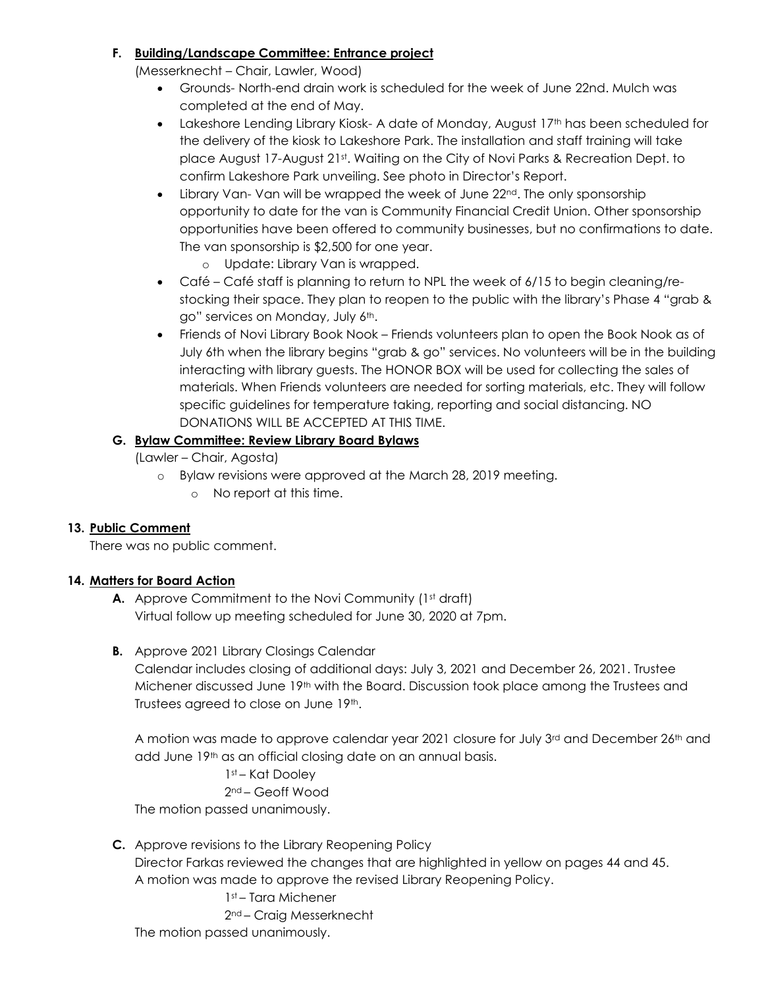### **F. Building/Landscape Committee: Entrance project**

(Messerknecht – Chair, Lawler, Wood)

- Grounds- North-end drain work is scheduled for the week of June 22nd. Mulch was completed at the end of May.
- Lakeshore Lending Library Kiosk- A date of Monday, August 17<sup>th</sup> has been scheduled for the delivery of the kiosk to Lakeshore Park. The installation and staff training will take place August 17-August 21st. Waiting on the City of Novi Parks & Recreation Dept. to confirm Lakeshore Park unveiling. See photo in Director's Report.
- $\bullet$  Library Van-Van will be wrapped the week of June  $22^{nd}$ . The only sponsorship opportunity to date for the van is Community Financial Credit Union. Other sponsorship opportunities have been offered to community businesses, but no confirmations to date. The van sponsorship is \$2,500 for one year.

o Update: Library Van is wrapped.

- Café Café staff is planning to return to NPL the week of 6/15 to begin cleaning/restocking their space. They plan to reopen to the public with the library's Phase 4 "grab & go" services on Monday, July 6<sup>th</sup>.
- Friends of Novi Library Book Nook Friends volunteers plan to open the Book Nook as of July 6th when the library begins "grab & go" services. No volunteers will be in the building interacting with library guests. The HONOR BOX will be used for collecting the sales of materials. When Friends volunteers are needed for sorting materials, etc. They will follow specific guidelines for temperature taking, reporting and social distancing. NO DONATIONS WILL BE ACCEPTED AT THIS TIME.

## **G. Bylaw Committee: Review Library Board Bylaws**

(Lawler – Chair, Agosta)

- o Bylaw revisions were approved at the March 28, 2019 meeting.
	- o No report at this time.

## **13. Public Comment**

There was no public comment.

## **14. Matters for Board Action**

- **A.** Approve Commitment to the Novi Community (1<sup>st</sup> draft) Virtual follow up meeting scheduled for June 30, 2020 at 7pm.
- **B.** Approve 2021 Library Closings Calendar

Calendar includes closing of additional days: July 3, 2021 and December 26, 2021. Trustee Michener discussed June 19th with the Board. Discussion took place among the Trustees and Trustees agreed to close on June 19th.

A motion was made to approve calendar year 2021 closure for July  $3^{rd}$  and December 26<sup>th</sup> and add June 19th as an official closing date on an annual basis.

1st – Kat Dooley

2nd – Geoff Wood

The motion passed unanimously.

## **C.** Approve revisions to the Library Reopening Policy

Director Farkas reviewed the changes that are highlighted in yellow on pages 44 and 45. A motion was made to approve the revised Library Reopening Policy.

## 1st – Tara Michener

2nd – Craig Messerknecht

The motion passed unanimously.